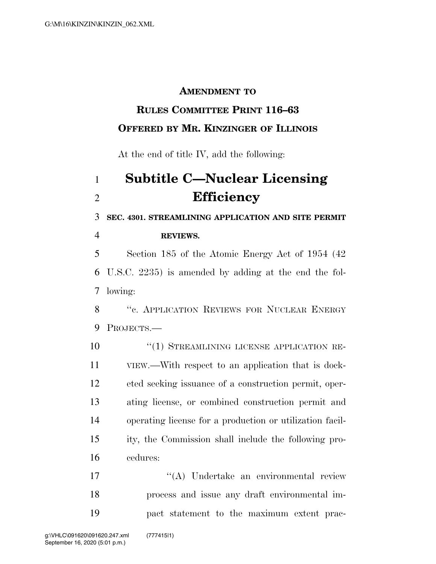### **AMENDMENT TO**

## **RULES COMMITTEE PRINT 116–63 OFFERED BY MR. KINZINGER OF ILLINOIS**

At the end of title IV, add the following:

# **Subtitle C—Nuclear Licensing Efficiency**

**SEC. 4301. STREAMLINING APPLICATION AND SITE PERMIT** 

**REVIEWS.** 

 Section 185 of the Atomic Energy Act of 1954 (42 U.S.C. 2235) is amended by adding at the end the fol-lowing:

8 "C. APPLICATION REVIEWS FOR NUCLEAR ENERGY PROJECTS.—

10 "(1) STREAMLINING LICENSE APPLICATION RE- VIEW.—With respect to an application that is dock- eted seeking issuance of a construction permit, oper- ating license, or combined construction permit and operating license for a production or utilization facil- ity, the Commission shall include the following pro-cedures:

 ''(A) Undertake an environmental review process and issue any draft environmental im-pact statement to the maximum extent prac-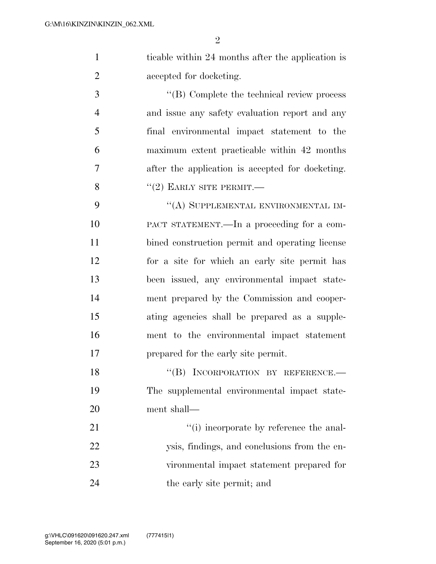1 ticable within 24 months after the application is accepted for docketing.

 ''(B) Complete the technical review process and issue any safety evaluation report and any final environmental impact statement to the maximum extent practicable within 42 months after the application is accepted for docketing.  $"(2)$  EARLY SITE PERMIT.—

9 "(A) SUPPLEMENTAL ENVIRONMENTAL IM- PACT STATEMENT.—In a proceeding for a com- bined construction permit and operating license for a site for which an early site permit has been issued, any environmental impact state- ment prepared by the Commission and cooper- ating agencies shall be prepared as a supple- ment to the environmental impact statement prepared for the early site permit.

18 "(B) INCORPORATION BY REFERENCE. The supplemental environmental impact state-ment shall—

 $\frac{1}{1}$  incorporate by reference the anal- ysis, findings, and conclusions from the en- vironmental impact statement prepared for the early site permit; and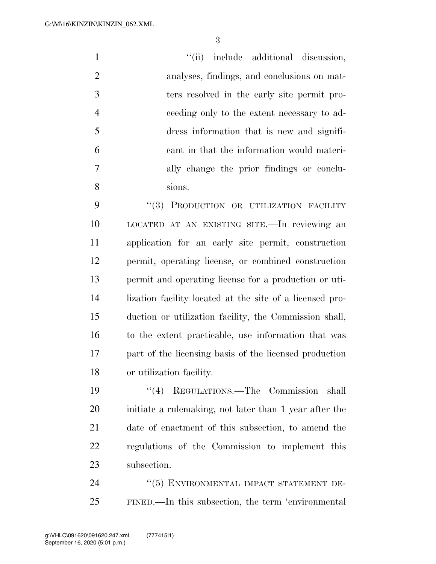$"(*ii*)$  include additional discussion, analyses, findings, and conclusions on mat- ters resolved in the early site permit pro- ceeding only to the extent necessary to ad- dress information that is new and signifi- cant in that the information would materi- ally change the prior findings or conclu-sions.

9 "(3) PRODUCTION OR UTILIZATION FACILITY LOCATED AT AN EXISTING SITE.—In reviewing an application for an early site permit, construction permit, operating license, or combined construction permit and operating license for a production or uti- lization facility located at the site of a licensed pro- duction or utilization facility, the Commission shall, to the extent practicable, use information that was part of the licensing basis of the licensed production or utilization facility.

 ''(4) REGULATIONS.—The Commission shall initiate a rulemaking, not later than 1 year after the date of enactment of this subsection, to amend the regulations of the Commission to implement this subsection.

24 "(5) ENVIRONMENTAL IMPACT STATEMENT DE-FINED.—In this subsection, the term 'environmental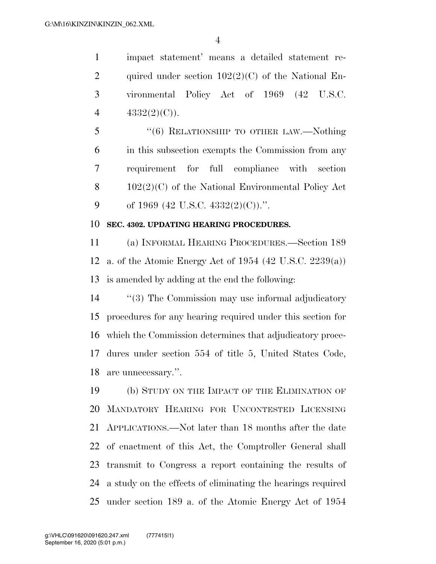impact statement' means a detailed statement re-2 quired under section  $102(2)(C)$  of the National En- vironmental Policy Act of 1969 (42 U.S.C.  $4332(2)(C)$ .

 ''(6) RELATIONSHIP TO OTHER LAW.—Nothing in this subsection exempts the Commission from any requirement for full compliance with section 102(2)(C) of the National Environmental Policy Act 9 of 1969 (42 U.S.C. 4332(2)(C)).".

#### **SEC. 4302. UPDATING HEARING PROCEDURES.**

 (a) INFORMAL HEARING PROCEDURES.—Section 189 a. of the Atomic Energy Act of 1954 (42 U.S.C. 2239(a)) is amended by adding at the end the following:

14 "(3) The Commission may use informal adjudicatory procedures for any hearing required under this section for which the Commission determines that adjudicatory proce- dures under section 554 of title 5, United States Code, are unnecessary.''.

 (b) STUDY ON THE IMPACT OF THE ELIMINATION OF MANDATORY HEARING FOR UNCONTESTED LICENSING APPLICATIONS.—Not later than 18 months after the date of enactment of this Act, the Comptroller General shall transmit to Congress a report containing the results of a study on the effects of eliminating the hearings required under section 189 a. of the Atomic Energy Act of 1954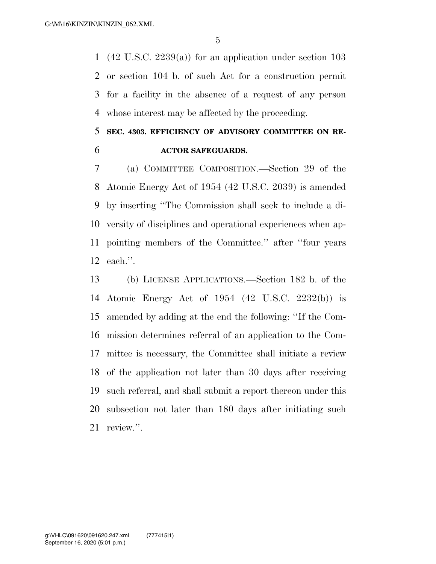(42 U.S.C. 2239(a)) for an application under section 103 or section 104 b. of such Act for a construction permit for a facility in the absence of a request of any person whose interest may be affected by the proceeding.

### **SEC. 4303. EFFICIENCY OF ADVISORY COMMITTEE ON RE-ACTOR SAFEGUARDS.**

 (a) COMMITTEE COMPOSITION.—Section 29 of the Atomic Energy Act of 1954 (42 U.S.C. 2039) is amended by inserting ''The Commission shall seek to include a di- versity of disciplines and operational experiences when ap- pointing members of the Committee.'' after ''four years each.''.

 (b) LICENSE APPLICATIONS.—Section 182 b. of the Atomic Energy Act of 1954 (42 U.S.C. 2232(b)) is amended by adding at the end the following: ''If the Com- mission determines referral of an application to the Com- mittee is necessary, the Committee shall initiate a review of the application not later than 30 days after receiving such referral, and shall submit a report thereon under this subsection not later than 180 days after initiating such review.''.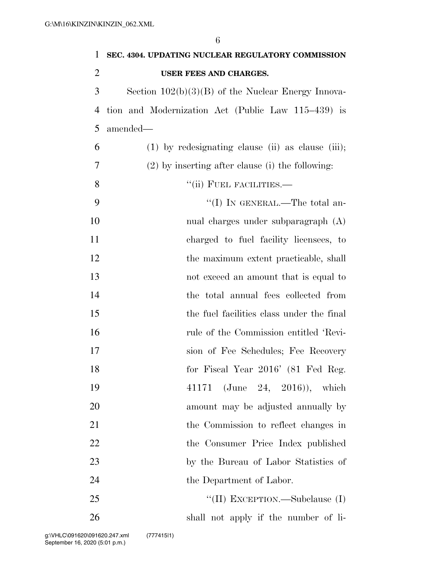| 1              | SEC. 4304. UPDATING NUCLEAR REGULATORY COMMISSION    |
|----------------|------------------------------------------------------|
| 2              | USER FEES AND CHARGES.                               |
| 3              | Section $102(b)(3)(B)$ of the Nuclear Energy Innova- |
| $\overline{4}$ | tion and Modernization Act (Public Law 115–439) is   |
| 5              | amended-                                             |
| 6              | $(1)$ by redesignating clause (ii) as clause (iii);  |
| 7              | $(2)$ by inserting after clause (i) the following:   |
| 8              | "(ii) FUEL FACILITIES.-                              |
| 9              | "(I) IN GENERAL.—The total an-                       |
| 10             | nual charges under subparagraph (A)                  |
| 11             | charged to fuel facility licensees, to               |
| 12             | the maximum extent practicable, shall                |
| 13             | not exceed an amount that is equal to                |
| 14             | the total annual fees collected from                 |
| 15             | the fuel facilities class under the final            |
| 16             | rule of the Commission entitled 'Revi-               |
| 17             | sion of Fee Schedules; Fee Recovery                  |
| 18             | for Fiscal Year 2016' (81 Fed Reg.                   |
| 19             | 41171 (June 24, 2016)), which                        |
| 20             | amount may be adjusted annually by                   |
| 21             | the Commission to reflect changes in                 |
| 22             | the Consumer Price Index published                   |
| 23             | by the Bureau of Labor Statistics of                 |
| 24             | the Department of Labor.                             |
| 25             | "(II) EXCEPTION.—Subclause (I)                       |

shall not apply if the number of li-